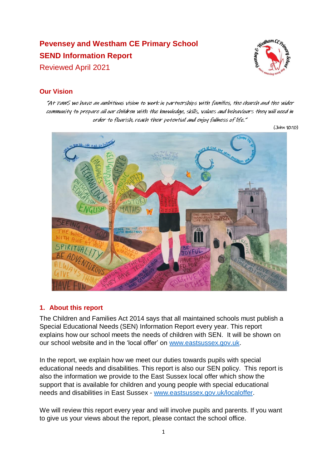# **Pevensey and Westham CE Primary School SEND Information Report** Reviewed April 2021



# **Our Vision**

"At PaWS we have an ambitious vision to work in partnerships with families, the church and the wider community to prepare all our children with the knowledge, skills, values and behaviours they will need in order to flourish, reach their potential and enjoy fullness of life."

 $(John 10:10)$ 



## **1. About this report**

The Children and Families Act 2014 says that all maintained schools must publish a Special Educational Needs (SEN) Information Report every year. This report explains how our school meets the needs of children with SEN. It will be shown on our school website and in the 'local offer' on [www.eastsussex.gov.uk.](http://www.eastsussex.gov.uk/)

In the report, we explain how we meet our duties towards pupils with special educational needs and disabilities. This report is also our SEN policy. This report is also the information we provide to the East Sussex local offer which show the support that is available for children and young people with special educational needs and disabilities in East Sussex - [www.eastsussex.gov.uk/localoffer.](http://www.eastsussex.gov.uk/localoffer)

We will review this report every year and will involve pupils and parents. If you want to give us your views about the report, please contact the school office.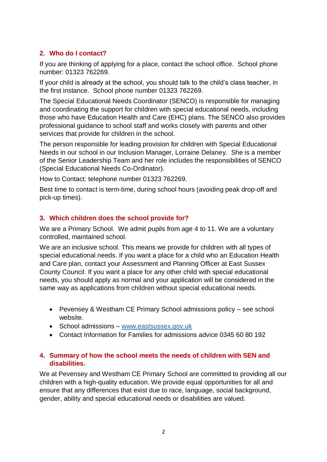## **2. Who do I contact?**

If you are thinking of applying for a place, contact the school office. School phone number: 01323 762269.

If your child is already at the school, you should talk to the child's class teacher, in the first instance. School phone number 01323 762269.

The Special Educational Needs Coordinator (SENCO) is responsible for managing and coordinating the support for children with special educational needs, including those who have Education Health and Care (EHC) plans. The SENCO also provides professional guidance to school staff and works closely with parents and other services that provide for children in the school.

The person responsible for leading provision for children with Special Educational Needs in our school in our Inclusion Manager, Lorraine Delaney. She is a member of the Senior Leadership Team and her role includes the responsibilities of SENCO (Special Educational Needs Co-Ordinator).

How to Contact: telephone number 01323 762269.

Best time to contact is term-time, during school hours (avoiding peak drop-off and pick-up times).

## **3. Which children does the school provide for?**

We are a Primary School. We admit pupils from age 4 to 11. We are a voluntary controlled, maintained school.

We are an inclusive school. This means we provide for children with all types of special educational needs. If you want a place for a child who an Education Health and Care plan, contact your Assessment and Planning Officer at East Sussex County Council. If you want a place for any other child with special educational needs, you should apply as normal and your application will be considered in the same way as applications from children without special educational needs.

- Pevensey & Westham CE Primary School admissions policy see school website.
- School admissions [www.eastsussex.gov.uk](http://www.eastsussex.gov.uk/)
- Contact Information for Families for admissions advice 0345 60 80 192

## **4. Summary of how the school meets the needs of children with SEN and disabilities.**

We at Pevensey and Westham CE Primary School are committed to providing all our children with a high-quality education. We provide equal opportunities for all and ensure that any differences that exist due to race, language, social background, gender, ability and special educational needs or disabilities are valued.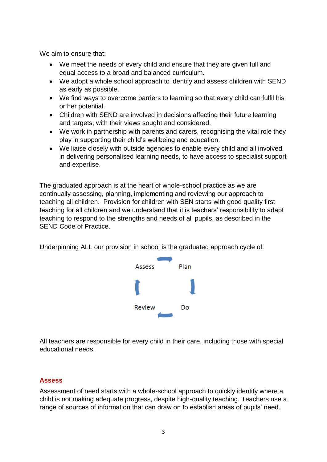We aim to ensure that:

- We meet the needs of every child and ensure that they are given full and equal access to a broad and balanced curriculum.
- We adopt a whole school approach to identify and assess children with SEND as early as possible.
- We find ways to overcome barriers to learning so that every child can fulfil his or her potential.
- Children with SEND are involved in decisions affecting their future learning and targets, with their views sought and considered.
- We work in partnership with parents and carers, recognising the vital role they play in supporting their child's wellbeing and education.
- We liaise closely with outside agencies to enable every child and all involved in delivering personalised learning needs, to have access to specialist support and expertise.

The graduated approach is at the heart of whole-school practice as we are continually assessing, planning, implementing and reviewing our approach to teaching all children. Provision for children with SEN starts with good quality first teaching for all children and we understand that it is teachers' responsibility to adapt teaching to respond to the strengths and needs of all pupils, as described in the SEND Code of Practice.

Underpinning ALL our provision in school is the graduated approach cycle of:



All teachers are responsible for every child in their care, including those with special educational needs.

## **Assess**

Assessment of need starts with a whole-school approach to quickly identify where a child is not making adequate progress, despite high-quality teaching. Teachers use a range of sources of information that can draw on to establish areas of pupils' need.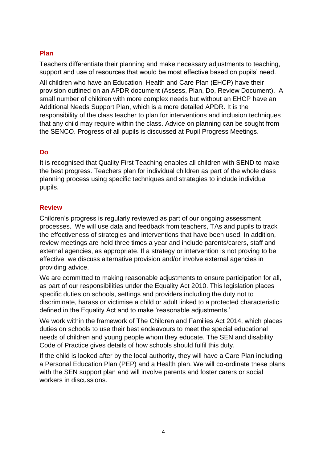## **Plan**

Teachers differentiate their planning and make necessary adjustments to teaching, support and use of resources that would be most effective based on pupils' need.

All children who have an Education, Health and Care Plan (EHCP) have their provision outlined on an APDR document (Assess, Plan, Do, Review Document). A small number of children with more complex needs but without an EHCP have an Additional Needs Support Plan, which is a more detailed APDR. It is the responsibility of the class teacher to plan for interventions and inclusion techniques that any child may require within the class. Advice on planning can be sought from the SENCO. Progress of all pupils is discussed at Pupil Progress Meetings.

## **Do**

It is recognised that Quality First Teaching enables all children with SEND to make the best progress. Teachers plan for individual children as part of the whole class planning process using specific techniques and strategies to include individual pupils.

## **Review**

Children's progress is regularly reviewed as part of our ongoing assessment processes. We will use data and feedback from teachers, TAs and pupils to track the effectiveness of strategies and interventions that have been used. In addition, review meetings are held three times a year and include parents/carers, staff and external agencies, as appropriate. If a strategy or intervention is not proving to be effective, we discuss alternative provision and/or involve external agencies in providing advice.

We are committed to making reasonable adjustments to ensure participation for all, as part of our responsibilities under the Equality Act 2010. This legislation places specific duties on schools, settings and providers including the duty not to discriminate, harass or victimise a child or adult linked to a protected characteristic defined in the Equality Act and to make 'reasonable adjustments.'

We work within the framework of The Children and Families Act 2014, which places duties on schools to use their best endeavours to meet the special educational needs of children and young people whom they educate. The SEN and disability Code of Practice gives details of how schools should fulfil this duty.

If the child is looked after by the local authority, they will have a Care Plan including a Personal Education Plan (PEP) and a Health plan. We will co-ordinate these plans with the SEN support plan and will involve parents and foster carers or social workers in discussions.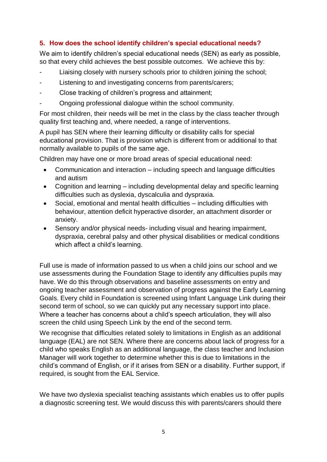# **5. How does the school identify children's special educational needs?**

We aim to identify children's special educational needs (SEN) as early as possible, so that every child achieves the best possible outcomes. We achieve this by:

- Liaising closely with nursery schools prior to children joining the school;
- Listening to and investigating concerns from parents/carers;
- Close tracking of children's progress and attainment;
- Ongoing professional dialogue within the school community.

For most children, their needs will be met in the class by the class teacher through quality first teaching and, where needed, a range of interventions.

A pupil has SEN where their learning difficulty or disability calls for special educational provision. That is provision which is different from or additional to that normally available to pupils of the same age.

Children may have one or more broad areas of special educational need:

- Communication and interaction including speech and language difficulties and autism
- Cognition and learning including developmental delay and specific learning difficulties such as dyslexia, dyscalculia and dyspraxia.
- Social, emotional and mental health difficulties including difficulties with behaviour, attention deficit hyperactive disorder, an attachment disorder or anxiety.
- Sensory and/or physical needs- including visual and hearing impairment, dyspraxia, cerebral palsy and other physical disabilities or medical conditions which affect a child's learning.

Full use is made of information passed to us when a child joins our school and we use assessments during the Foundation Stage to identify any difficulties pupils may have. We do this through observations and baseline assessments on entry and ongoing teacher assessment and observation of progress against the Early Learning Goals. Every child in Foundation is screened using Infant Language Link during their second term of school, so we can quickly put any necessary support into place. Where a teacher has concerns about a child's speech articulation, they will also screen the child using Speech Link by the end of the second term.

We recognise that difficulties related solely to limitations in English as an additional language (EAL) are not SEN. Where there are concerns about lack of progress for a child who speaks English as an additional language, the class teacher and Inclusion Manager will work together to determine whether this is due to limitations in the child's command of English, or if it arises from SEN or a disability. Further support, if required, is sought from the EAL Service.

We have two dyslexia specialist teaching assistants which enables us to offer pupils a diagnostic screening test. We would discuss this with parents/carers should there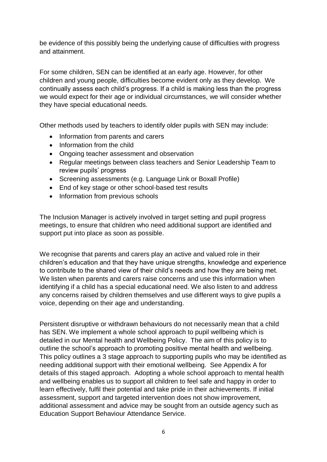be evidence of this possibly being the underlying cause of difficulties with progress and attainment.

For some children, SEN can be identified at an early age. However, for other children and young people, difficulties become evident only as they develop. We continually assess each child's progress. If a child is making less than the progress we would expect for their age or individual circumstances, we will consider whether they have special educational needs.

Other methods used by teachers to identify older pupils with SEN may include:

- Information from parents and carers
- Information from the child
- Ongoing teacher assessment and observation
- Regular meetings between class teachers and Senior Leadership Team to review pupils' progress
- Screening assessments (e.g. Language Link or Boxall Profile)
- End of key stage or other school-based test results
- Information from previous schools

The Inclusion Manager is actively involved in target setting and pupil progress meetings, to ensure that children who need additional support are identified and support put into place as soon as possible.

We recognise that parents and carers play an active and valued role in their children's education and that they have unique strengths, knowledge and experience to contribute to the shared view of their child's needs and how they are being met. We listen when parents and carers raise concerns and use this information when identifying if a child has a special educational need. We also listen to and address any concerns raised by children themselves and use different ways to give pupils a voice, depending on their age and understanding.

Persistent disruptive or withdrawn behaviours do not necessarily mean that a child has SEN. We implement a whole school approach to pupil wellbeing which is detailed in our Mental health and Wellbeing Policy. The aim of this policy is to outline the school's approach to promoting positive mental health and wellbeing. This policy outlines a 3 stage approach to supporting pupils who may be identified as needing additional support with their emotional wellbeing. See Appendix A for details of this staged approach. Adopting a whole school approach to mental health and wellbeing enables us to support all children to feel safe and happy in order to learn effectively, fulfil their potential and take pride in their achievements. If initial assessment, support and targeted intervention does not show improvement, additional assessment and advice may be sought from an outside agency such as Education Support Behaviour Attendance Service.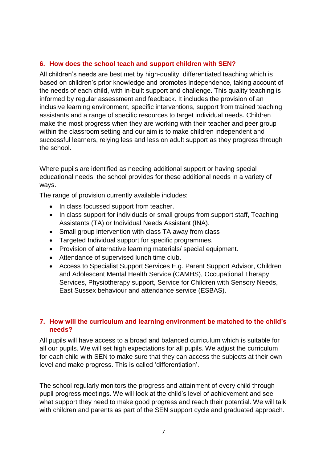## **6. How does the school teach and support children with SEN?**

All children's needs are best met by high-quality, differentiated teaching which is based on children's prior knowledge and promotes independence, taking account of the needs of each child, with in-built support and challenge. This quality teaching is informed by regular assessment and feedback. It includes the provision of an inclusive learning environment, specific interventions, support from trained teaching assistants and a range of specific resources to target individual needs. Children make the most progress when they are working with their teacher and peer group within the classroom setting and our aim is to make children independent and successful learners, relying less and less on adult support as they progress through the school.

Where pupils are identified as needing additional support or having special educational needs, the school provides for these additional needs in a variety of ways.

The range of provision currently available includes:

- In class focussed support from teacher.
- In class support for individuals or small groups from support staff, Teaching Assistants (TA) or Individual Needs Assistant (INA).
- Small group intervention with class TA away from class
- Targeted Individual support for specific programmes.
- Provision of alternative learning materials/ special equipment.
- Attendance of supervised lunch time club.
- Access to Specialist Support Services E.g. Parent Support Advisor, Children and Adolescent Mental Health Service (CAMHS), Occupational Therapy Services, Physiotherapy support, Service for Children with Sensory Needs, East Sussex behaviour and attendance service (ESBAS).

## **7. How will the curriculum and learning environment be matched to the child's needs?**

All pupils will have access to a broad and balanced curriculum which is suitable for all our pupils. We will set high expectations for all pupils. We adjust the curriculum for each child with SEN to make sure that they can access the subjects at their own level and make progress. This is called 'differentiation'.

The school regularly monitors the progress and attainment of every child through pupil progress meetings. We will look at the child's level of achievement and see what support they need to make good progress and reach their potential. We will talk with children and parents as part of the SEN support cycle and graduated approach.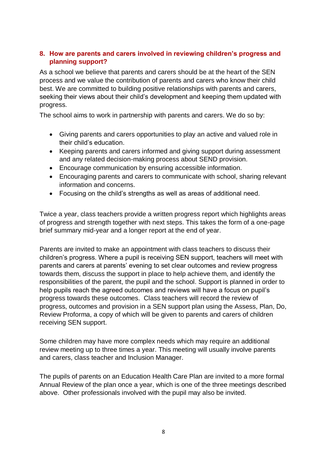## **8. How are parents and carers involved in reviewing children's progress and planning support?**

As a school we believe that parents and carers should be at the heart of the SEN process and we value the contribution of parents and carers who know their child best. We are committed to building positive relationships with parents and carers, seeking their views about their child's development and keeping them updated with progress.

The school aims to work in partnership with parents and carers. We do so by:

- Giving parents and carers opportunities to play an active and valued role in their child's education.
- Keeping parents and carers informed and giving support during assessment and any related decision-making process about SEND provision.
- Encourage communication by ensuring accessible information.
- Encouraging parents and carers to communicate with school, sharing relevant information and concerns.
- Focusing on the child's strengths as well as areas of additional need.

Twice a year, class teachers provide a written progress report which highlights areas of progress and strength together with next steps. This takes the form of a one-page brief summary mid-year and a longer report at the end of year.

Parents are invited to make an appointment with class teachers to discuss their children's progress. Where a pupil is receiving SEN support, teachers will meet with parents and carers at parents' evening to set clear outcomes and review progress towards them, discuss the support in place to help achieve them, and identify the responsibilities of the parent, the pupil and the school. Support is planned in order to help pupils reach the agreed outcomes and reviews will have a focus on pupil's progress towards these outcomes. Class teachers will record the review of progress, outcomes and provision in a SEN support plan using the Assess, Plan, Do, Review Proforma, a copy of which will be given to parents and carers of children receiving SEN support.

Some children may have more complex needs which may require an additional review meeting up to three times a year. This meeting will usually involve parents and carers, class teacher and Inclusion Manager.

The pupils of parents on an Education Health Care Plan are invited to a more formal Annual Review of the plan once a year, which is one of the three meetings described above. Other professionals involved with the pupil may also be invited.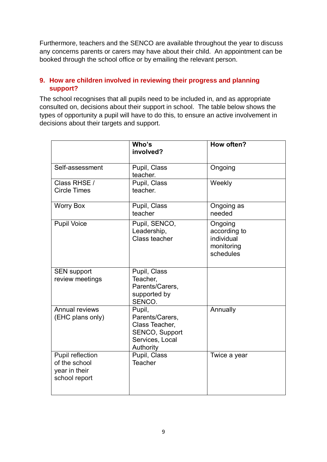Furthermore, teachers and the SENCO are available throughout the year to discuss any concerns parents or carers may have about their child. An appointment can be booked through the school office or by emailing the relevant person.

## **9. How are children involved in reviewing their progress and planning support?**

The school recognises that all pupils need to be included in, and as appropriate consulted on, decisions about their support in school. The table below shows the types of opportunity a pupil will have to do this, to ensure an active involvement in decisions about their targets and support.

|                                                                     | Who's<br>involved?                                                                            | How often?                                                       |
|---------------------------------------------------------------------|-----------------------------------------------------------------------------------------------|------------------------------------------------------------------|
| Self-assessment                                                     | Pupil, Class<br>teacher.                                                                      | Ongoing                                                          |
| Class RHSE /<br><b>Circle Times</b>                                 | Pupil, Class<br>teacher.                                                                      | Weekly                                                           |
| <b>Worry Box</b>                                                    | Pupil, Class<br>teacher                                                                       | Ongoing as<br>needed                                             |
| <b>Pupil Voice</b>                                                  | Pupil, SENCO,<br>Leadership,<br>Class teacher                                                 | Ongoing<br>according to<br>individual<br>monitoring<br>schedules |
| <b>SEN support</b><br>review meetings                               | Pupil, Class<br>Teacher,<br>Parents/Carers,<br>supported by<br>SENCO.                         |                                                                  |
| Annual reviews<br>(EHC plans only)                                  | Pupil,<br>Parents/Carers,<br>Class Teacher,<br>SENCO, Support<br>Services, Local<br>Authority | Annually                                                         |
| Pupil reflection<br>of the school<br>year in their<br>school report | Pupil, Class<br><b>Teacher</b>                                                                | Twice a year                                                     |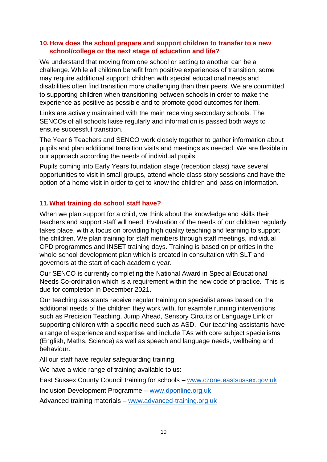#### **10.How does the school prepare and support children to transfer to a new school/college or the next stage of education and life?**

We understand that moving from one school or setting to another can be a challenge. While all children benefit from positive experiences of transition, some may require additional support; children with special educational needs and disabilities often find transition more challenging than their peers. We are committed to supporting children when transitioning between schools in order to make the experience as positive as possible and to promote good outcomes for them.

Links are actively maintained with the main receiving secondary schools. The SENCOs of all schools liaise regularly and information is passed both ways to ensure successful transition.

The Year 6 Teachers and SENCO work closely together to gather information about pupils and plan additional transition visits and meetings as needed. We are flexible in our approach according the needs of individual pupils.

Pupils coming into Early Years foundation stage (reception class) have several opportunities to visit in small groups, attend whole class story sessions and have the option of a home visit in order to get to know the children and pass on information.

## **11.What training do school staff have?**

When we plan support for a child, we think about the knowledge and skills their teachers and support staff will need. Evaluation of the needs of our children regularly takes place, with a focus on providing high quality teaching and learning to support the children. We plan training for staff members through staff meetings, individual CPD programmes and INSET training days. Training is based on priorities in the whole school development plan which is created in consultation with SLT and governors at the start of each academic year.

Our SENCO is currently completing the National Award in Special Educational Needs Co-ordination which is a requirement within the new code of practice. This is due for completion in December 2021.

Our teaching assistants receive regular training on specialist areas based on the additional needs of the children they work with, for example running interventions such as Precision Teaching, Jump Ahead, Sensory Circuits or Language Link or supporting children with a specific need such as ASD. Our teaching assistants have a range of experience and expertise and include TAs with core subject specialisms (English, Maths, Science) as well as speech and language needs, wellbeing and behaviour.

All our staff have regular safeguarding training.

We have a wide range of training available to us:

East Sussex County Council training for schools – [www.czone.eastsussex.gov.uk](http://www.czone.eastsussex.gov.uk/)

Inclusion Development Programme – [www.dponline.org.uk](http://www.dponline.org.uk/)

Advanced training materials – [www.advanced-training.org.uk](http://www.advanced-training.org.uk/)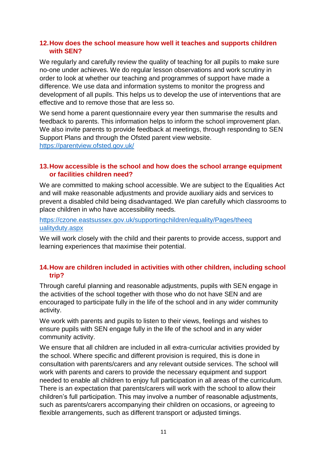#### **12.How does the school measure how well it teaches and supports children with SEN?**

We regularly and carefully review the quality of teaching for all pupils to make sure no-one under achieves. We do regular lesson observations and work scrutiny in order to look at whether our teaching and programmes of support have made a difference. We use data and information systems to monitor the progress and development of all pupils. This helps us to develop the use of interventions that are effective and to remove those that are less so.

We send home a parent questionnaire every year then summarise the results and feedback to parents. This information helps to inform the school improvement plan. We also invite parents to provide feedback at meetings, through responding to SEN Support Plans and through the Ofsted parent view website. <https://parentview.ofsted.gov.uk/>

#### **13.How accessible is the school and how does the school arrange equipment or facilities children need?**

We are committed to making school accessible. We are subject to the Equalities Act and will make reasonable adjustments and provide auxiliary aids and services to prevent a disabled child being disadvantaged. We plan carefully which classrooms to place children in who have accessibility needs.

[https://czone.eastsussex.gov.uk/supportingchildren/equality/Pages/theeq](https://czone.eastsussex.gov.uk/supportingchildren/equality/Pages/theeq%20ualityduty.aspx)  [ualityduty.aspx](https://czone.eastsussex.gov.uk/supportingchildren/equality/Pages/theeq%20ualityduty.aspx)

We will work closely with the child and their parents to provide access, support and learning experiences that maximise their potential.

## **14.How are children included in activities with other children, including school trip?**

Through careful planning and reasonable adjustments, pupils with SEN engage in the activities of the school together with those who do not have SEN and are encouraged to participate fully in the life of the school and in any wider community activity.

We work with parents and pupils to listen to their views, feelings and wishes to ensure pupils with SEN engage fully in the life of the school and in any wider community activity.

We ensure that all children are included in all extra-curricular activities provided by the school. Where specific and different provision is required, this is done in consultation with parents/carers and any relevant outside services. The school will work with parents and carers to provide the necessary equipment and support needed to enable all children to enjoy full participation in all areas of the curriculum. There is an expectation that parents/carers will work with the school to allow their children's full participation. This may involve a number of reasonable adjustments, such as parents/carers accompanying their children on occasions, or agreeing to flexible arrangements, such as different transport or adjusted timings.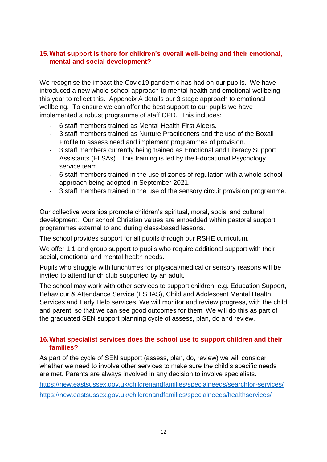#### **15.What support is there for children's overall well-being and their emotional, mental and social development?**

We recognise the impact the Covid19 pandemic has had on our pupils. We have introduced a new whole school approach to mental health and emotional wellbeing this year to reflect this. Appendix A details our 3 stage approach to emotional wellbeing. To ensure we can offer the best support to our pupils we have implemented a robust programme of staff CPD. This includes:

- 6 staff members trained as Mental Health First Aiders.
- 3 staff members trained as Nurture Practitioners and the use of the Boxall Profile to assess need and implement programmes of provision.
- 3 staff members currently being trained as Emotional and Literacy Support Assistants (ELSAs). This training is led by the Educational Psychology service team.
- 6 staff members trained in the use of zones of regulation with a whole school approach being adopted in September 2021.
- 3 staff members trained in the use of the sensory circuit provision programme.

Our collective worships promote children's spiritual, moral, social and cultural development. Our school Christian values are embedded within pastoral support programmes external to and during class-based lessons.

The school provides support for all pupils through our RSHE curriculum.

We offer 1:1 and group support to pupils who require additional support with their social, emotional and mental health needs.

Pupils who struggle with lunchtimes for physical/medical or sensory reasons will be invited to attend lunch club supported by an adult.

The school may work with other services to support children, e.g. Education Support, Behaviour & Attendance Service (ESBAS), Child and Adolescent Mental Health Services and Early Help services. We will monitor and review progress, with the child and parent, so that we can see good outcomes for them. We will do this as part of the graduated SEN support planning cycle of assess, plan, do and review.

#### **16.What specialist services does the school use to support children and their families?**

As part of the cycle of SEN support (assess, plan, do, review) we will consider whether we need to involve other services to make sure the child's specific needs are met. Parents are always involved in any decision to involve specialists.

<https://new.eastsussex.gov.uk/childrenandfamilies/specialneeds/searchfor-services/> <https://new.eastsussex.gov.uk/childrenandfamilies/specialneeds/healthservices/>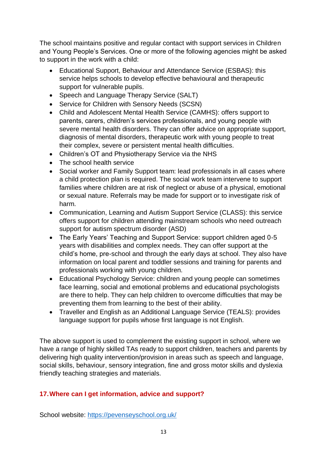The school maintains positive and regular contact with support services in Children and Young People's Services. One or more of the following agencies might be asked to support in the work with a child:

- Educational Support, Behaviour and Attendance Service (ESBAS): this service helps schools to develop effective behavioural and therapeutic support for vulnerable pupils.
- Speech and Language Therapy Service (SALT)
- Service for Children with Sensory Needs (SCSN)
- Child and Adolescent Mental Health Service (CAMHS): offers support to parents, carers, children's services professionals, and young people with severe mental health disorders. They can offer advice on appropriate support, diagnosis of mental disorders, therapeutic work with young people to treat their complex, severe or persistent mental health difficulties.
- Children's OT and Physiotherapy Service via the NHS
- The school health service
- Social worker and Family Support team: lead professionals in all cases where a child protection plan is required. The social work team intervene to support families where children are at risk of neglect or abuse of a physical, emotional or sexual nature. Referrals may be made for support or to investigate risk of harm.
- Communication, Learning and Autism Support Service (CLASS): this service offers support for children attending mainstream schools who need outreach support for autism spectrum disorder (ASD)
- The Early Years' Teaching and Support Service: support children aged 0-5 years with disabilities and complex needs. They can offer support at the child's home, pre-school and through the early days at school. They also have information on local parent and toddler sessions and training for parents and professionals working with young children.
- Educational Psychology Service: children and young people can sometimes face learning, social and emotional problems and educational psychologists are there to help. They can help children to overcome difficulties that may be preventing them from learning to the best of their ability.
- Traveller and English as an Additional Language Service (TEALS): provides language support for pupils whose first language is not English.

The above support is used to complement the existing support in school, where we have a range of highly skilled TAs ready to support children, teachers and parents by delivering high quality intervention/provision in areas such as speech and language, social skills, behaviour, sensory integration, fine and gross motor skills and dyslexia friendly teaching strategies and materials.

## **17.Where can I get information, advice and support?**

School website:<https://pevenseyschool.org.uk/>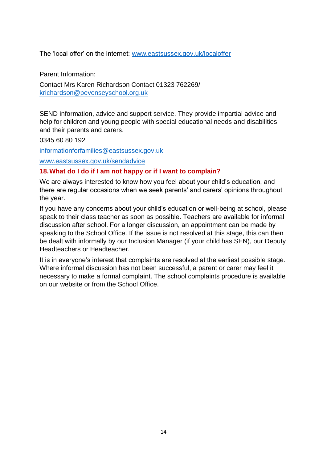The 'local offer' on the internet: [www.eastsussex.gov.uk/localoffer](http://www.eastsussex.gov.uk/localoffer)

Parent Information:

Contact Mrs Karen Richardson Contact 01323 762269/ [krichardson@pevenseyschool.org.uk](mailto:krichardson@pevenseyschool.org.uk)

SEND information, advice and support service. They provide impartial advice and help for children and young people with special educational needs and disabilities and their parents and carers.

0345 60 80 192

[informationforfamilies@eastsussex.gov.uk](mailto:informationforfamilies@eastsussex.gov.uk)

[www.eastsussex.gov.uk/sendadvice](http://www.eastsussex.gov.uk/sendadvice)

#### **18.What do I do if I am not happy or if I want to complain?**

We are always interested to know how you feel about your child's education, and there are regular occasions when we seek parents' and carers' opinions throughout the year.

If you have any concerns about your child's education or well-being at school, please speak to their class teacher as soon as possible. Teachers are available for informal discussion after school. For a longer discussion, an appointment can be made by speaking to the School Office. If the issue is not resolved at this stage, this can then be dealt with informally by our Inclusion Manager (if your child has SEN), our Deputy Headteachers or Headteacher.

It is in everyone's interest that complaints are resolved at the earliest possible stage. Where informal discussion has not been successful, a parent or carer may feel it necessary to make a formal complaint. The school complaints procedure is available on our website or from the School Office.